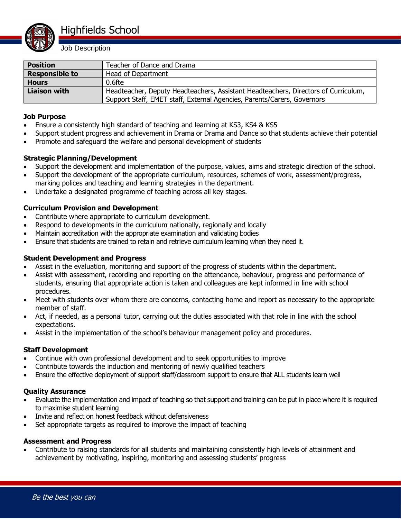

Job Description

| <b>Position</b>       | Teacher of Dance and Drama                                                         |
|-----------------------|------------------------------------------------------------------------------------|
| <b>Responsible to</b> | Head of Department                                                                 |
| <b>Hours</b>          | 0.6fte                                                                             |
| <b>Liaison with</b>   | Headteacher, Deputy Headteachers, Assistant Headteachers, Directors of Curriculum, |
|                       | Support Staff, EMET staff, External Agencies, Parents/Carers, Governors            |

#### **Job Purpose**

- Ensure a consistently high standard of teaching and learning at KS3, KS4 & KS5
- Support student progress and achievement in Drama or Drama and Dance so that students achieve their potential
- Promote and safeguard the welfare and personal development of students

# **Strategic Planning/Development**

- Support the development and implementation of the purpose, values, aims and strategic direction of the school.
- Support the development of the appropriate curriculum, resources, schemes of work, assessment/progress, marking polices and teaching and learning strategies in the department.
- Undertake a designated programme of teaching across all key stages.

# **Curriculum Provision and Development**

- Contribute where appropriate to curriculum development.
- Respond to developments in the curriculum nationally, regionally and locally
- Maintain accreditation with the appropriate examination and validating bodies
- Ensure that students are trained to retain and retrieve curriculum learning when they need it.

#### **Student Development and Progress**

- Assist in the evaluation, monitoring and support of the progress of students within the department.
- Assist with assessment, recording and reporting on the attendance, behaviour, progress and performance of students, ensuring that appropriate action is taken and colleagues are kept informed in line with school procedures.
- Meet with students over whom there are concerns, contacting home and report as necessary to the appropriate member of staff.
- Act, if needed, as a personal tutor, carrying out the duties associated with that role in line with the school expectations.
- Assist in the implementation of the school's behaviour management policy and procedures.

# **Staff Development**

- Continue with own professional development and to seek opportunities to improve
- Contribute towards the induction and mentoring of newly qualified teachers
- Ensure the effective deployment of support staff/classroom support to ensure that ALL students learn well

#### **Quality Assurance**

- Evaluate the implementation and impact of teaching so that support and training can be put in place where it is required to maximise student learning
- Invite and reflect on honest feedback without defensiveness
- Set appropriate targets as required to improve the impact of teaching

#### **Assessment and Progress**

 Contribute to raising standards for all students and maintaining consistently high levels of attainment and achievement by motivating, inspiring, monitoring and assessing students' progress